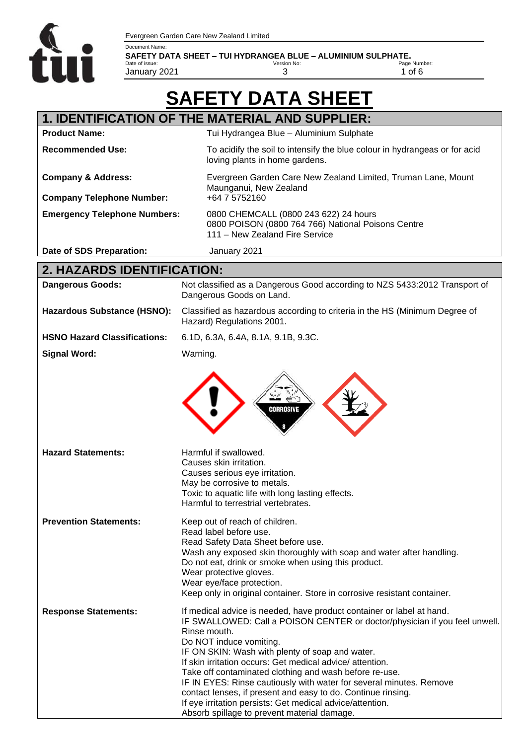

**SAFETY DATA SHEET – TUI HYDRANGEA BLUE – ALUMINIUM SULPHATE.** Date of issue: January 2021

Version No:

3

0800 POISON (0800 764 766) National Poisons Centre

Page Number: 1 of 6

# **SAFETY DATA SHEET**

111 – New Zealand Fire Service

#### **1. IDENTIFICATION OF THE MATERIAL AND SUPPLIER: Product Name:** Tui Hydrangea Blue – Aluminium Sulphate **Recommended Use:** To acidify the soil to intensify the blue colour in hydrangeas or for acid loving plants in home gardens. **Company & Address:** Evergreen Garden Care New Zealand Limited, Truman Lane, Mount Maunganui, New Zealand **Company Telephone Number:** +64 7 5752160 **Emergency Telephone Numbers:** 0800 CHEMCALL (0800 243 622) 24 hours

**Date of SDS Preparation:** January 2021

## **2. HAZARDS IDENTIFICATION:**

| <b>Dangerous Goods:</b>             | Not classified as a Dangerous Good according to NZS 5433:2012 Transport of<br>Dangerous Goods on Land.                                                                                                                                                                                                                                                                                                                                                                                                                                                                                                                     |  |  |
|-------------------------------------|----------------------------------------------------------------------------------------------------------------------------------------------------------------------------------------------------------------------------------------------------------------------------------------------------------------------------------------------------------------------------------------------------------------------------------------------------------------------------------------------------------------------------------------------------------------------------------------------------------------------------|--|--|
| <b>Hazardous Substance (HSNO):</b>  | Classified as hazardous according to criteria in the HS (Minimum Degree of<br>Hazard) Regulations 2001.                                                                                                                                                                                                                                                                                                                                                                                                                                                                                                                    |  |  |
| <b>HSNO Hazard Classifications:</b> | 6.1D, 6.3A, 6.4A, 8.1A, 9.1B, 9.3C.                                                                                                                                                                                                                                                                                                                                                                                                                                                                                                                                                                                        |  |  |
| <b>Signal Word:</b>                 | Warning.                                                                                                                                                                                                                                                                                                                                                                                                                                                                                                                                                                                                                   |  |  |
|                                     | CORROSIVE                                                                                                                                                                                                                                                                                                                                                                                                                                                                                                                                                                                                                  |  |  |
| <b>Hazard Statements:</b>           | Harmful if swallowed.<br>Causes skin irritation.<br>Causes serious eye irritation.<br>May be corrosive to metals.<br>Toxic to aquatic life with long lasting effects.<br>Harmful to terrestrial vertebrates.                                                                                                                                                                                                                                                                                                                                                                                                               |  |  |
| <b>Prevention Statements:</b>       | Keep out of reach of children.<br>Read label before use.<br>Read Safety Data Sheet before use.<br>Wash any exposed skin thoroughly with soap and water after handling.<br>Do not eat, drink or smoke when using this product.<br>Wear protective gloves.<br>Wear eye/face protection.<br>Keep only in original container. Store in corrosive resistant container.                                                                                                                                                                                                                                                          |  |  |
| <b>Response Statements:</b>         | If medical advice is needed, have product container or label at hand.<br>IF SWALLOWED: Call a POISON CENTER or doctor/physician if you feel unwell.<br>Rinse mouth.<br>Do NOT induce vomiting.<br>IF ON SKIN: Wash with plenty of soap and water.<br>If skin irritation occurs: Get medical advice/attention.<br>Take off contaminated clothing and wash before re-use.<br>IF IN EYES: Rinse cautiously with water for several minutes. Remove<br>contact lenses, if present and easy to do. Continue rinsing.<br>If eye irritation persists: Get medical advice/attention.<br>Absorb spillage to prevent material damage. |  |  |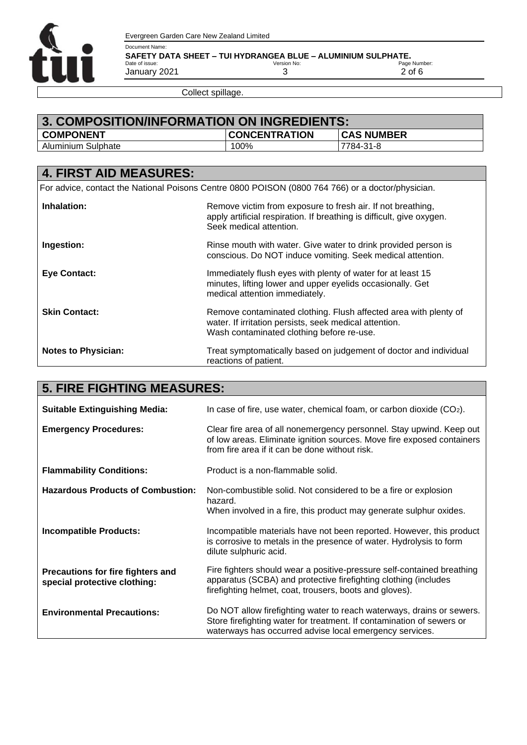

Document Name: **SAFETY DATA SHEET – TUI HYDRANGEA BLUE – ALUMINIUM SULPHATE.** Date of issue: January 2021 Version No: 3

Page Number: 2 of 6

Collect spillage.

| 3. COMPOSITION/INFORMATION ON INGREDIENTS: |                      |                   |  |
|--------------------------------------------|----------------------|-------------------|--|
| <b>COMPONENT</b>                           | <b>CONCENTRATION</b> | <b>CAS NUMBER</b> |  |
| Aluminium Sulphate                         | 100%                 | 17784-31-8        |  |

| <b>4. FIRST AID MEASURES:</b>                                                                     |                                                                                                                                                                         |  |  |
|---------------------------------------------------------------------------------------------------|-------------------------------------------------------------------------------------------------------------------------------------------------------------------------|--|--|
| For advice, contact the National Poisons Centre 0800 POISON (0800 764 766) or a doctor/physician. |                                                                                                                                                                         |  |  |
| Inhalation:                                                                                       | Remove victim from exposure to fresh air. If not breathing,<br>apply artificial respiration. If breathing is difficult, give oxygen.<br>Seek medical attention.         |  |  |
| Ingestion:                                                                                        | Rinse mouth with water. Give water to drink provided person is<br>conscious. Do NOT induce vomiting. Seek medical attention.                                            |  |  |
| <b>Eye Contact:</b>                                                                               | Immediately flush eyes with plenty of water for at least 15<br>minutes, lifting lower and upper eyelids occasionally. Get<br>medical attention immediately.             |  |  |
| <b>Skin Contact:</b>                                                                              | Remove contaminated clothing. Flush affected area with plenty of<br>water. If irritation persists, seek medical attention.<br>Wash contaminated clothing before re-use. |  |  |
| <b>Notes to Physician:</b>                                                                        | Treat symptomatically based on judgement of doctor and individual<br>reactions of patient.                                                                              |  |  |

| <b>5. FIRE FIGHTING MEASURES:</b>                                 |                                                                                                                                                                                                           |  |  |
|-------------------------------------------------------------------|-----------------------------------------------------------------------------------------------------------------------------------------------------------------------------------------------------------|--|--|
| <b>Suitable Extinguishing Media:</b>                              | In case of fire, use water, chemical foam, or carbon dioxide $(CO2)$ .                                                                                                                                    |  |  |
| <b>Emergency Procedures:</b>                                      | Clear fire area of all nonemergency personnel. Stay upwind. Keep out<br>of low areas. Eliminate ignition sources. Move fire exposed containers<br>from fire area if it can be done without risk.          |  |  |
| <b>Flammability Conditions:</b>                                   | Product is a non-flammable solid.                                                                                                                                                                         |  |  |
| <b>Hazardous Products of Combustion:</b>                          | Non-combustible solid. Not considered to be a fire or explosion<br>hazard.<br>When involved in a fire, this product may generate sulphur oxides.                                                          |  |  |
| Incompatible Products:                                            | Incompatible materials have not been reported. However, this product<br>is corrosive to metals in the presence of water. Hydrolysis to form<br>dilute sulphuric acid.                                     |  |  |
| Precautions for fire fighters and<br>special protective clothing: | Fire fighters should wear a positive-pressure self-contained breathing<br>apparatus (SCBA) and protective firefighting clothing (includes<br>firefighting helmet, coat, trousers, boots and gloves).      |  |  |
| <b>Environmental Precautions:</b>                                 | Do NOT allow firefighting water to reach waterways, drains or sewers.<br>Store firefighting water for treatment. If contamination of sewers or<br>waterways has occurred advise local emergency services. |  |  |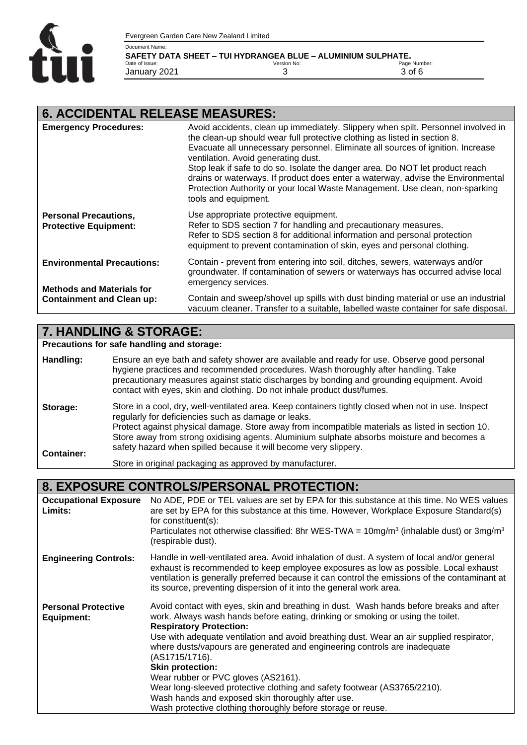

Document Name: **SAFETY DATA SHEET – TUI HYDRANGEA BLUE – ALUMINIUM SULPHATE.**

| ---------------------- |             |              |
|------------------------|-------------|--------------|
| Date of issue:         | Version No: | Page Number: |
| January 2021           |             | 3 of 6       |
|                        |             |              |

#### **6. ACCIDENTAL RELEASE MEASURES:**

| <b>Emergency Procedures:</b>                                          | Avoid accidents, clean up immediately. Slippery when spilt. Personnel involved in<br>the clean-up should wear full protective clothing as listed in section 8.<br>Evacuate all unnecessary personnel. Eliminate all sources of ignition. Increase<br>ventilation. Avoid generating dust.<br>Stop leak if safe to do so. Isolate the danger area. Do NOT let product reach<br>drains or waterways. If product does enter a waterway, advise the Environmental<br>Protection Authority or your local Waste Management. Use clean, non-sparking<br>tools and equipment. |
|-----------------------------------------------------------------------|----------------------------------------------------------------------------------------------------------------------------------------------------------------------------------------------------------------------------------------------------------------------------------------------------------------------------------------------------------------------------------------------------------------------------------------------------------------------------------------------------------------------------------------------------------------------|
| <b>Personal Precautions,</b><br><b>Protective Equipment:</b>          | Use appropriate protective equipment.<br>Refer to SDS section 7 for handling and precautionary measures.<br>Refer to SDS section 8 for additional information and personal protection<br>equipment to prevent contamination of skin, eyes and personal clothing.                                                                                                                                                                                                                                                                                                     |
| <b>Environmental Precautions:</b><br><b>Methods and Materials for</b> | Contain - prevent from entering into soil, ditches, sewers, waterways and/or<br>groundwater. If contamination of sewers or waterways has occurred advise local<br>emergency services.                                                                                                                                                                                                                                                                                                                                                                                |
| <b>Containment and Clean up:</b>                                      | Contain and sweep/shovel up spills with dust binding material or use an industrial<br>vacuum cleaner. Transfer to a suitable, labelled waste container for safe disposal.                                                                                                                                                                                                                                                                                                                                                                                            |

#### **7. HANDLING & STORAGE:**

**Precautions for safe handling and storage:**

- **Handling: Storage: Container:** Ensure an eye bath and safety shower are available and ready for use. Observe good personal hygiene practices and recommended procedures. Wash thoroughly after handling. Take precautionary measures against static discharges by bonding and grounding equipment. Avoid contact with eyes, skin and clothing. Do not inhale product dust/fumes. Store in a cool, dry, well-ventilated area. Keep containers tightly closed when not in use. Inspect regularly for deficiencies such as damage or leaks. Protect against physical damage. Store away from incompatible materials as listed in section 10. Store away from strong oxidising agents. Aluminium sulphate absorbs moisture and becomes a safety hazard when spilled because it will become very slippery.
	- Store in original packaging as approved by manufacturer.

#### **8. EXPOSURE CONTROLS/PERSONAL PROTECTION:**

| <b>Occupational Exposure</b><br>Limits:  | No ADE, PDE or TEL values are set by EPA for this substance at this time. No WES values<br>are set by EPA for this substance at this time. However, Workplace Exposure Standard(s)<br>for constituent(s):<br>Particulates not otherwise classified: 8hr WES-TWA = $10mg/m3$ (inhalable dust) or 3mg/m <sup>3</sup><br>(respirable dust).                                                                                                                                                                                                                                                                                                                                   |
|------------------------------------------|----------------------------------------------------------------------------------------------------------------------------------------------------------------------------------------------------------------------------------------------------------------------------------------------------------------------------------------------------------------------------------------------------------------------------------------------------------------------------------------------------------------------------------------------------------------------------------------------------------------------------------------------------------------------------|
| <b>Engineering Controls:</b>             | Handle in well-ventilated area. Avoid inhalation of dust. A system of local and/or general<br>exhaust is recommended to keep employee exposures as low as possible. Local exhaust<br>ventilation is generally preferred because it can control the emissions of the contaminant at<br>its source, preventing dispersion of it into the general work area.                                                                                                                                                                                                                                                                                                                  |
| <b>Personal Protective</b><br>Equipment: | Avoid contact with eyes, skin and breathing in dust. Wash hands before breaks and after<br>work. Always wash hands before eating, drinking or smoking or using the toilet.<br><b>Respiratory Protection:</b><br>Use with adequate ventilation and avoid breathing dust. Wear an air supplied respirator,<br>where dusts/vapours are generated and engineering controls are inadequate<br>(AS1715/1716).<br><b>Skin protection:</b><br>Wear rubber or PVC gloves (AS2161).<br>Wear long-sleeved protective clothing and safety footwear (AS3765/2210).<br>Wash hands and exposed skin thoroughly after use.<br>Wash protective clothing thoroughly before storage or reuse. |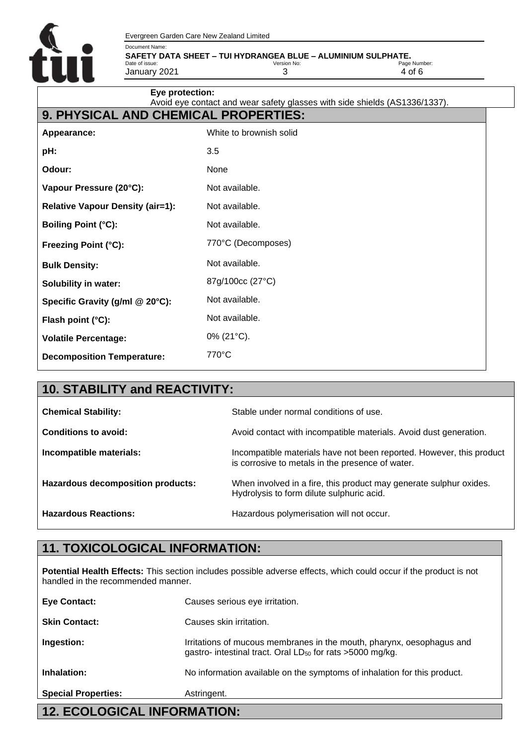

Document Name: **SAFETY DATA SHEET – TUI HYDRANGEA BLUE – ALUMINIUM SULPHATE.**

Date of issue: January 2021 Version No: 3 Page Number: 4 of 6

| Eye protection:                         | Avoid eye contact and wear safety glasses with side shields (AS1336/1337). |  |  |  |
|-----------------------------------------|----------------------------------------------------------------------------|--|--|--|
| 9. PHYSICAL AND CHEMICAL PROPERTIES:    |                                                                            |  |  |  |
| Appearance:                             | White to brownish solid                                                    |  |  |  |
| pH:                                     | 3.5                                                                        |  |  |  |
| Odour:                                  | None                                                                       |  |  |  |
| Vapour Pressure (20°C):                 | Not available.                                                             |  |  |  |
| <b>Relative Vapour Density (air=1):</b> | Not available.                                                             |  |  |  |
| <b>Boiling Point (°C):</b>              | Not available.                                                             |  |  |  |
| Freezing Point (°C):                    | 770°C (Decomposes)                                                         |  |  |  |
| <b>Bulk Density:</b>                    | Not available.                                                             |  |  |  |
| <b>Solubility in water:</b>             | 87g/100cc (27°C)                                                           |  |  |  |
| Specific Gravity (g/ml @ 20°C):         | Not available.                                                             |  |  |  |
| Flash point (°C):                       | Not available.                                                             |  |  |  |
| <b>Volatile Percentage:</b>             | 0% (21°C).                                                                 |  |  |  |
| <b>Decomposition Temperature:</b>       | 770°C                                                                      |  |  |  |

| <b>10. STABILITY and REACTIVITY:</b> |                                                                                                                          |  |  |
|--------------------------------------|--------------------------------------------------------------------------------------------------------------------------|--|--|
| <b>Chemical Stability:</b>           | Stable under normal conditions of use.                                                                                   |  |  |
| Conditions to avoid:                 | Avoid contact with incompatible materials. Avoid dust generation.                                                        |  |  |
| Incompatible materials:              | Incompatible materials have not been reported. However, this product<br>is corrosive to metals in the presence of water. |  |  |
| Hazardous decomposition products:    | When involved in a fire, this product may generate sulphur oxides.<br>Hydrolysis to form dilute sulphuric acid.          |  |  |
| <b>Hazardous Reactions:</b>          | Hazardous polymerisation will not occur.                                                                                 |  |  |

### **11. TOXICOLOGICAL INFORMATION:**

**Potential Health Effects:** This section includes possible adverse effects, which could occur if the product is not handled in the recommended manner.

| <b>12. ECOLOGICAL INFORMATION:</b> |                                                                                                                                                |  |
|------------------------------------|------------------------------------------------------------------------------------------------------------------------------------------------|--|
| <b>Special Properties:</b>         | Astringent.                                                                                                                                    |  |
| Inhalation:                        | No information available on the symptoms of inhalation for this product.                                                                       |  |
| Ingestion:                         | Irritations of mucous membranes in the mouth, pharynx, oesophagus and<br>gastro- intestinal tract. Oral LD <sub>50</sub> for rats >5000 mg/kg. |  |
| <b>Skin Contact:</b>               | Causes skin irritation.                                                                                                                        |  |
| <b>Eye Contact:</b>                | Causes serious eye irritation.                                                                                                                 |  |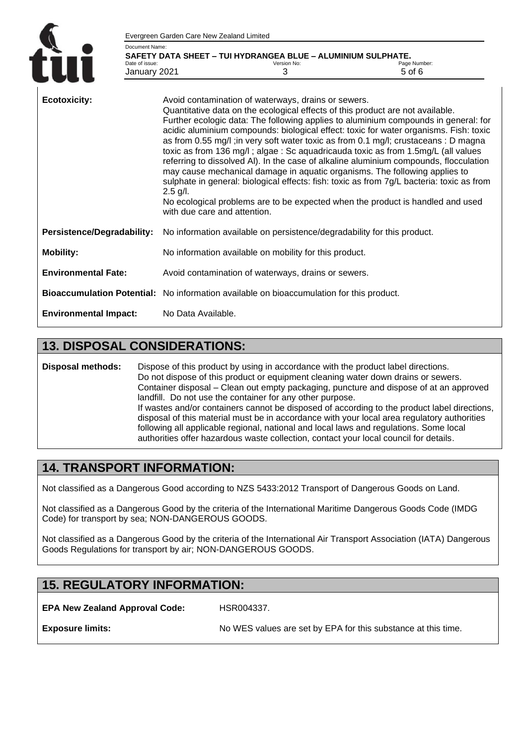|                                   | Evergreen Garden Care New Zealand Limited                                                         |                                                                                          |                                                                                                                                                                                                                                                                                                                                                                                                                                                                                                                                                                                                                                                                                                                                                                                                 |
|-----------------------------------|---------------------------------------------------------------------------------------------------|------------------------------------------------------------------------------------------|-------------------------------------------------------------------------------------------------------------------------------------------------------------------------------------------------------------------------------------------------------------------------------------------------------------------------------------------------------------------------------------------------------------------------------------------------------------------------------------------------------------------------------------------------------------------------------------------------------------------------------------------------------------------------------------------------------------------------------------------------------------------------------------------------|
| Document Name:                    |                                                                                                   |                                                                                          |                                                                                                                                                                                                                                                                                                                                                                                                                                                                                                                                                                                                                                                                                                                                                                                                 |
| Date of issue:                    | January 2021                                                                                      | SAFETY DATA SHEET - TUI HYDRANGEA BLUE - ALUMINIUM SULPHATE.<br>Version No:<br>3         | Page Number:<br>5 of 6                                                                                                                                                                                                                                                                                                                                                                                                                                                                                                                                                                                                                                                                                                                                                                          |
| <b>Ecotoxicity:</b>               | Avoid contamination of waterways, drains or sewers.<br>$2.5$ g/l.<br>with due care and attention. |                                                                                          | Quantitative data on the ecological effects of this product are not available.<br>Further ecologic data: The following applies to aluminium compounds in general: for<br>acidic aluminium compounds: biological effect: toxic for water organisms. Fish: toxic<br>as from 0.55 mg/l; in very soft water toxic as from 0.1 mg/l; crustaceans : D magna<br>toxic as from 136 mg/l; algae: Sc aquadricauda toxic as from 1.5mg/L (all values<br>referring to dissolved AI). In the case of alkaline aluminium compounds, flocculation<br>may cause mechanical damage in aquatic organisms. The following applies to<br>sulphate in general: biological effects: fish: toxic as from 7g/L bacteria: toxic as from<br>No ecological problems are to be expected when the product is handled and used |
| <b>Persistence/Degradability:</b> |                                                                                                   | No information available on persistence/degradability for this product.                  |                                                                                                                                                                                                                                                                                                                                                                                                                                                                                                                                                                                                                                                                                                                                                                                                 |
| <b>Mobility:</b>                  |                                                                                                   | No information available on mobility for this product.                                   |                                                                                                                                                                                                                                                                                                                                                                                                                                                                                                                                                                                                                                                                                                                                                                                                 |
| <b>Environmental Fate:</b>        |                                                                                                   | Avoid contamination of waterways, drains or sewers.                                      |                                                                                                                                                                                                                                                                                                                                                                                                                                                                                                                                                                                                                                                                                                                                                                                                 |
|                                   |                                                                                                   | Bioaccumulation Potential: No information available on bioaccumulation for this product. |                                                                                                                                                                                                                                                                                                                                                                                                                                                                                                                                                                                                                                                                                                                                                                                                 |
| <b>Environmental Impact:</b>      | No Data Available.                                                                                |                                                                                          |                                                                                                                                                                                                                                                                                                                                                                                                                                                                                                                                                                                                                                                                                                                                                                                                 |

#### **13. DISPOSAL CONSIDERATIONS:**

**Disposal methods:** Dispose of this product by using in accordance with the product label directions. Do not dispose of this product or equipment cleaning water down drains or sewers. Container disposal – Clean out empty packaging, puncture and dispose of at an approved landfill. Do not use the container for any other purpose. If wastes and/or containers cannot be disposed of according to the product label directions, disposal of this material must be in accordance with your local area regulatory authorities following all applicable regional, national and local laws and regulations. Some local authorities offer hazardous waste collection, contact your local council for details.

#### **14. TRANSPORT INFORMATION:**

Not classified as a Dangerous Good according to NZS 5433:2012 Transport of Dangerous Goods on Land.

Not classified as a Dangerous Good by the criteria of the International Maritime Dangerous Goods Code (IMDG Code) for transport by sea; NON-DANGEROUS GOODS.

Not classified as a Dangerous Good by the criteria of the International Air Transport Association (IATA) Dangerous Goods Regulations for transport by air; NON-DANGEROUS GOODS.

### **15. REGULATORY INFORMATION:**

**EPA New Zealand Approval Code:**

HSR004337.

**Exposure limits:**

No WES values are set by EPA for this substance at this time.